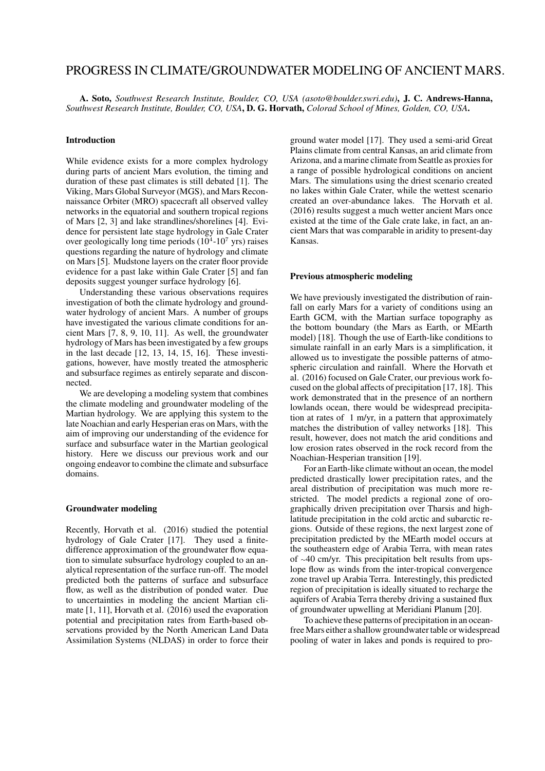# PROGRESS IN CLIMATE/GROUNDWATER MODELING OF ANCIENT MARS.

A. Soto, *Southwest Research Institute, Boulder, CO, USA (asoto@boulder.swri.edu)*, J. C. Andrews-Hanna, *Southwest Research Institute, Boulder, CO, USA*, D. G. Horvath, *Colorad School of Mines, Golden, CO, USA*.

#### Introduction

While evidence exists for a more complex hydrology during parts of ancient Mars evolution, the timing and duration of these past climates is still debated [1]. The Viking, Mars Global Surveyor (MGS), and Mars Reconnaissance Orbiter (MRO) spacecraft all observed valley networks in the equatorial and southern tropical regions of Mars [2, 3] and lake strandlines/shorelines [4]. Evidence for persistent late stage hydrology in Gale Crater over geologically long time periods  $(10^4 - 10^7$  yrs) raises questions regarding the nature of hydrology and climate on Mars [5]. Mudstone layers on the crater floor provide evidence for a past lake within Gale Crater [5] and fan deposits suggest younger surface hydrology [6].

Understanding these various observations requires investigation of both the climate hydrology and groundwater hydrology of ancient Mars. A number of groups have investigated the various climate conditions for ancient Mars [7, 8, 9, 10, 11]. As well, the groundwater hydrology of Mars has been investigated by a few groups in the last decade [12, 13, 14, 15, 16]. These investigations, however, have mostly treated the atmospheric and subsurface regimes as entirely separate and disconnected.

We are developing a modeling system that combines the climate modeling and groundwater modeling of the Martian hydrology. We are applying this system to the late Noachian and early Hesperian eras on Mars, with the aim of improving our understanding of the evidence for surface and subsurface water in the Martian geological history. Here we discuss our previous work and our ongoing endeavor to combine the climate and subsurface domains.

## Groundwater modeling

Recently, Horvath et al. (2016) studied the potential hydrology of Gale Crater [17]. They used a finitedifference approximation of the groundwater flow equation to simulate subsurface hydrology coupled to an analytical representation of the surface run-off. The model predicted both the patterns of surface and subsurface flow, as well as the distribution of ponded water. Due to uncertainties in modeling the ancient Martian climate [1, 11], Horvath et al. (2016) used the evaporation potential and precipitation rates from Earth-based observations provided by the North American Land Data Assimilation Systems (NLDAS) in order to force their ground water model [17]. They used a semi-arid Great Plains climate from central Kansas, an arid climate from Arizona, and a marine climate from Seattle as proxies for a range of possible hydrological conditions on ancient Mars. The simulations using the driest scenario created no lakes within Gale Crater, while the wettest scenario created an over-abundance lakes. The Horvath et al. (2016) results suggest a much wetter ancient Mars once existed at the time of the Gale crate lake, in fact, an ancient Mars that was comparable in aridity to present-day Kansas.

## Previous atmospheric modeling

We have previously investigated the distribution of rainfall on early Mars for a variety of conditions using an Earth GCM, with the Martian surface topography as the bottom boundary (the Mars as Earth, or MEarth model) [18]. Though the use of Earth-like conditions to simulate rainfall in an early Mars is a simplification, it allowed us to investigate the possible patterns of atmospheric circulation and rainfall. Where the Horvath et al. (2016) focused on Gale Crater, our previous work focused on the global affects of precipitation [17, 18]. This work demonstrated that in the presence of an northern lowlands ocean, there would be widespread precipitation at rates of 1 m/yr, in a pattern that approximately matches the distribution of valley networks [18]. This result, however, does not match the arid conditions and low erosion rates observed in the rock record from the Noachian-Hesperian transition [19].

For an Earth-like climate without an ocean, the model predicted drastically lower precipitation rates, and the areal distribution of precipitation was much more restricted. The model predicts a regional zone of orographically driven precipitation over Tharsis and highlatitude precipitation in the cold arctic and subarctic regions. Outside of these regions, the next largest zone of precipitation predicted by the MEarth model occurs at the southeastern edge of Arabia Terra, with mean rates of <sup>∼</sup>40 cm/yr. This precipitation belt results from upslope flow as winds from the inter-tropical convergence zone travel up Arabia Terra. Interestingly, this predicted region of precipitation is ideally situated to recharge the aquifers of Arabia Terra thereby driving a sustained flux of groundwater upwelling at Meridiani Planum [20].

To achieve these patterns of precipitation in an oceanfree Mars either a shallow groundwater table or widespread pooling of water in lakes and ponds is required to pro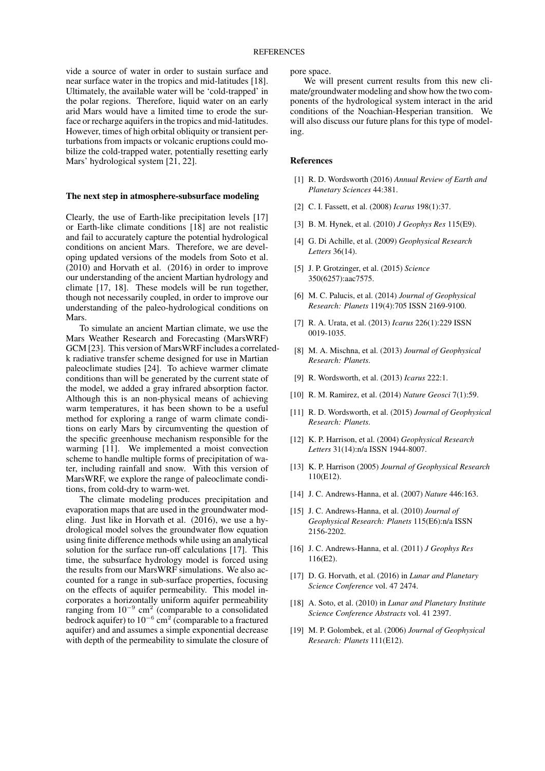vide a source of water in order to sustain surface and near surface water in the tropics and mid-latitudes [18]. Ultimately, the available water will be 'cold-trapped' in the polar regions. Therefore, liquid water on an early arid Mars would have a limited time to erode the surface or recharge aquifers in the tropics and mid-latitudes. However, times of high orbital obliquity or transient perturbations from impacts or volcanic eruptions could mobilize the cold-trapped water, potentially resetting early Mars' hydrological system [21, 22].

#### The next step in atmosphere-subsurface modeling

Clearly, the use of Earth-like precipitation levels [17] or Earth-like climate conditions [18] are not realistic and fail to accurately capture the potential hydrological conditions on ancient Mars. Therefore, we are developing updated versions of the models from Soto et al. (2010) and Horvath et al. (2016) in order to improve our understanding of the ancient Martian hydrology and climate [17, 18]. These models will be run together, though not necessarily coupled, in order to improve our understanding of the paleo-hydrological conditions on **Mars**.

To simulate an ancient Martian climate, we use the Mars Weather Research and Forecasting (MarsWRF) GCM [23]. This version of MarsWRF includes a correlatedk radiative transfer scheme designed for use in Martian paleoclimate studies [24]. To achieve warmer climate conditions than will be generated by the current state of the model, we added a gray infrared absorption factor. Although this is an non-physical means of achieving warm temperatures, it has been shown to be a useful method for exploring a range of warm climate conditions on early Mars by circumventing the question of the specific greenhouse mechanism responsible for the warming [11]. We implemented a moist convection scheme to handle multiple forms of precipitation of water, including rainfall and snow. With this version of MarsWRF, we explore the range of paleoclimate conditions, from cold-dry to warm-wet.

The climate modeling produces precipitation and evaporation maps that are used in the groundwater modeling. Just like in Horvath et al. (2016), we use a hydrological model solves the groundwater flow equation using finite difference methods while using an analytical solution for the surface run-off calculations [17]. This time, the subsurface hydrology model is forced using the results from our MarsWRF simulations. We also accounted for a range in sub-surface properties, focusing on the effects of aquifer permeability. This model incorporates a horizontally uniform aquifer permeability ranging from  $10^{-9}$  cm<sup>2</sup> (comparable to a consolidated bedrock aquifer) to  $10^{-6}$  cm<sup>2</sup> (comparable to a fractured aquifer) and and assumes a simple exponential decrease with depth of the permeability to simulate the closure of pore space.

We will present current results from this new climate/groundwater modeling and show how the two components of the hydrological system interact in the arid conditions of the Noachian-Hesperian transition. We will also discuss our future plans for this type of modeling.

## References

- [1] R. D. Wordsworth (2016) *Annual Review of Earth and Planetary Sciences* 44:381.
- [2] C. I. Fassett, et al. (2008) *Icarus* 198(1):37.
- [3] B. M. Hynek, et al. (2010) *J Geophys Res* 115(E9).
- [4] G. Di Achille, et al. (2009) *Geophysical Research Letters* 36(14).
- [5] J. P. Grotzinger, et al. (2015) *Science* 350(6257):aac7575.
- [6] M. C. Palucis, et al. (2014) *Journal of Geophysical Research: Planets* 119(4):705 ISSN 2169-9100.
- [7] R. A. Urata, et al. (2013) *Icarus* 226(1):229 ISSN 0019-1035.
- [8] M. A. Mischna, et al. (2013) *Journal of Geophysical Research: Planets*.
- [9] R. Wordsworth, et al. (2013) *Icarus* 222:1.
- [10] R. M. Ramirez, et al. (2014) *Nature Geosci* 7(1):59.
- [11] R. D. Wordsworth, et al. (2015) *Journal of Geophysical Research: Planets*.
- [12] K. P. Harrison, et al. (2004) *Geophysical Research Letters* 31(14):n/a ISSN 1944-8007.
- [13] K. P. Harrison (2005) *Journal of Geophysical Research* 110(E12).
- [14] J. C. Andrews-Hanna, et al. (2007) *Nature* 446:163.
- [15] J. C. Andrews-Hanna, et al. (2010) *Journal of Geophysical Research: Planets* 115(E6):n/a ISSN 2156-2202.
- [16] J. C. Andrews-Hanna, et al. (2011) *J Geophys Res* 116(E2).
- [17] D. G. Horvath, et al. (2016) in *Lunar and Planetary Science Conference* vol. 47 2474.
- [18] A. Soto, et al. (2010) in *Lunar and Planetary Institute Science Conference Abstracts* vol. 41 2397.
- [19] M. P. Golombek, et al. (2006) *Journal of Geophysical Research: Planets* 111(E12).